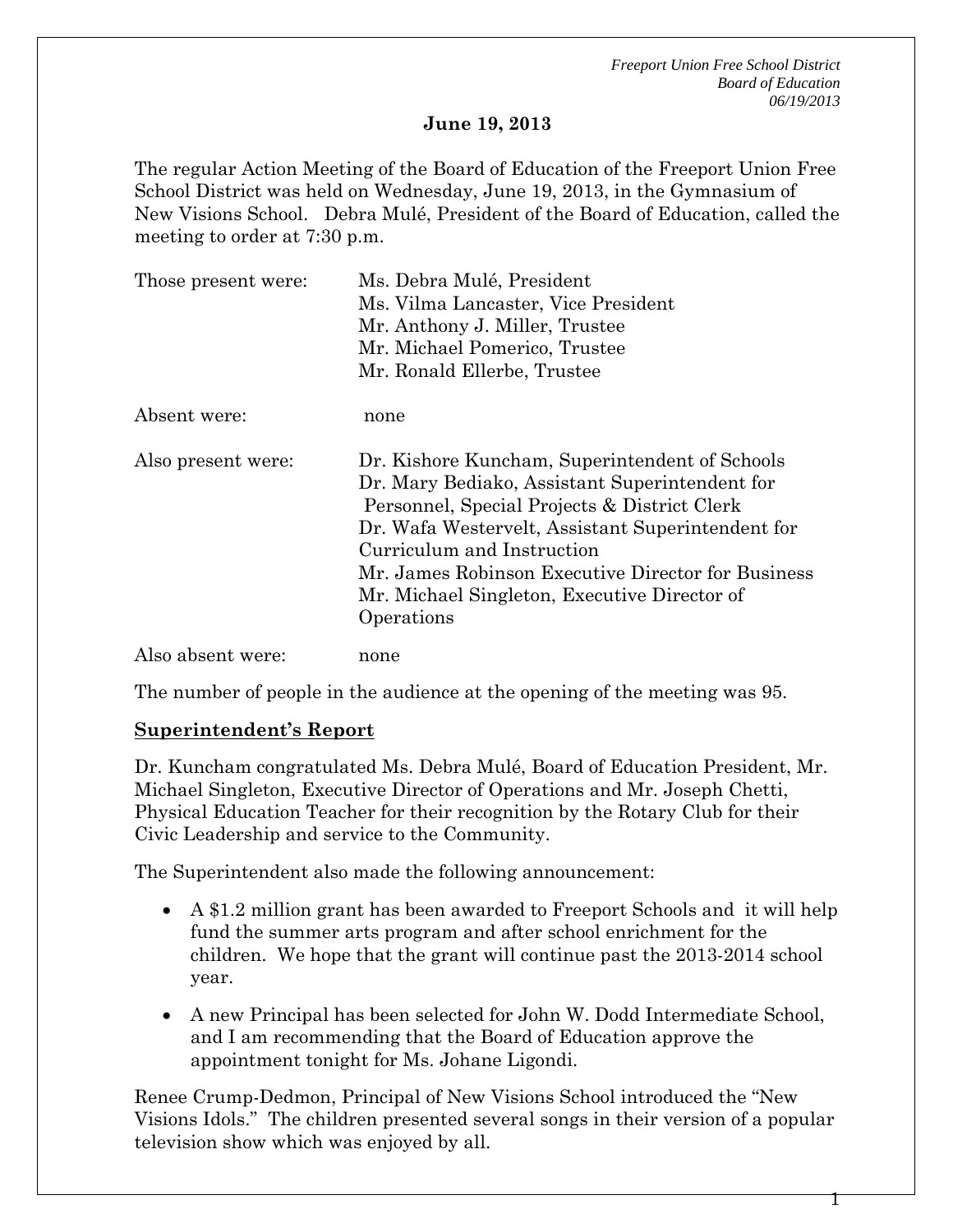*Freeport Union Free School District Board of Education 06/19/2013* 

#### **June 19, 2013**

The regular Action Meeting of the Board of Education of the Freeport Union Free School District was held on Wednesday, June 19, 2013, in the Gymnasium of New Visions School. Debra Mulé, President of the Board of Education, called the meeting to order at 7:30 p.m.

| Those present were: | Ms. Debra Mulé, President                                                                                                                                                                                                                                                                                                                               |  |  |
|---------------------|---------------------------------------------------------------------------------------------------------------------------------------------------------------------------------------------------------------------------------------------------------------------------------------------------------------------------------------------------------|--|--|
|                     | Ms. Vilma Lancaster, Vice President<br>Mr. Anthony J. Miller, Trustee                                                                                                                                                                                                                                                                                   |  |  |
|                     |                                                                                                                                                                                                                                                                                                                                                         |  |  |
|                     | Mr. Michael Pomerico, Trustee                                                                                                                                                                                                                                                                                                                           |  |  |
|                     | Mr. Ronald Ellerbe, Trustee                                                                                                                                                                                                                                                                                                                             |  |  |
| Absent were:        | none                                                                                                                                                                                                                                                                                                                                                    |  |  |
| Also present were:  | Dr. Kishore Kuncham, Superintendent of Schools<br>Dr. Mary Bediako, Assistant Superintendent for<br>Personnel, Special Projects & District Clerk<br>Dr. Wafa Westervelt, Assistant Superintendent for<br>Curriculum and Instruction<br>Mr. James Robinson Executive Director for Business<br>Mr. Michael Singleton, Executive Director of<br>Operations |  |  |
| Also absent were:   | none                                                                                                                                                                                                                                                                                                                                                    |  |  |

The number of people in the audience at the opening of the meeting was 95.

### **Superintendent's Report**

Dr. Kuncham congratulated Ms. Debra Mulé, Board of Education President, Mr. Michael Singleton, Executive Director of Operations and Mr. Joseph Chetti, Physical Education Teacher for their recognition by the Rotary Club for their Civic Leadership and service to the Community.

The Superintendent also made the following announcement:

- A \$1.2 million grant has been awarded to Freeport Schools and it will help fund the summer arts program and after school enrichment for the children. We hope that the grant will continue past the 2013-2014 school year.
- A new Principal has been selected for John W. Dodd Intermediate School, and I am recommending that the Board of Education approve the appointment tonight for Ms. Johane Ligondi.

Renee Crump-Dedmon, Principal of New Visions School introduced the "New Visions Idols." The children presented several songs in their version of a popular television show which was enjoyed by all.

1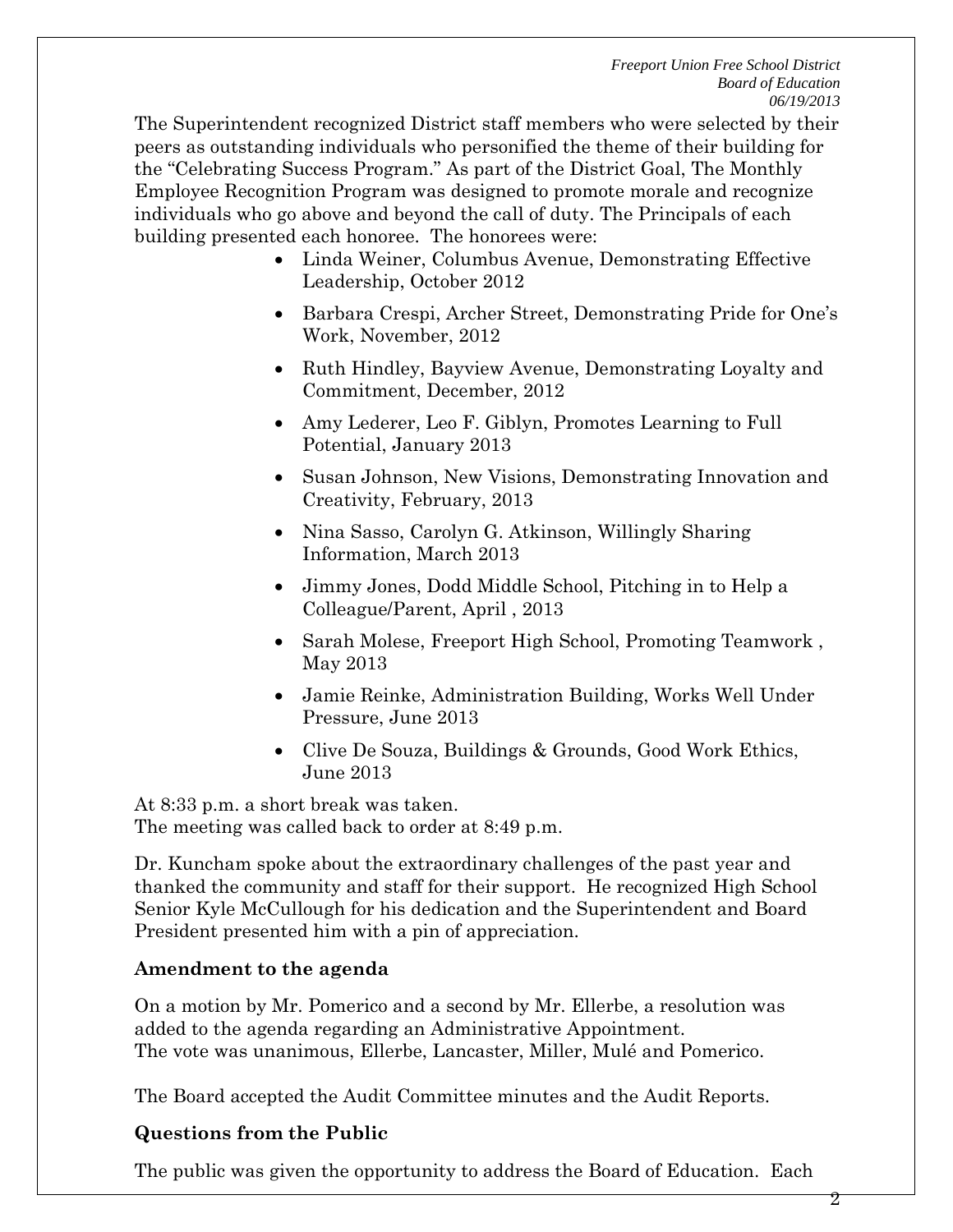The Superintendent recognized District staff members who were selected by their peers as outstanding individuals who personified the theme of their building for the "Celebrating Success Program." As part of the District Goal, The Monthly Employee Recognition Program was designed to promote morale and recognize individuals who go above and beyond the call of duty. The Principals of each building presented each honoree. The honorees were:

- Linda Weiner, Columbus Avenue, Demonstrating Effective Leadership, October 2012
- Barbara Crespi, Archer Street, Demonstrating Pride for One's Work, November, 2012
- Ruth Hindley, Bayview Avenue, Demonstrating Loyalty and Commitment, December, 2012
- Amy Lederer, Leo F. Giblyn, Promotes Learning to Full Potential, January 2013
- Susan Johnson, New Visions, Demonstrating Innovation and Creativity, February, 2013
- Nina Sasso, Carolyn G. Atkinson, Willingly Sharing Information, March 2013
- Jimmy Jones, Dodd Middle School, Pitching in to Help a Colleague/Parent, April , 2013
- Sarah Molese, Freeport High School, Promoting Teamwork , May 2013
- Jamie Reinke, Administration Building, Works Well Under Pressure, June 2013
- Clive De Souza, Buildings & Grounds, Good Work Ethics, June 2013

At 8:33 p.m. a short break was taken. The meeting was called back to order at 8:49 p.m.

Dr. Kuncham spoke about the extraordinary challenges of the past year and thanked the community and staff for their support. He recognized High School Senior Kyle McCullough for his dedication and the Superintendent and Board President presented him with a pin of appreciation.

# **Amendment to the agenda**

On a motion by Mr. Pomerico and a second by Mr. Ellerbe, a resolution was added to the agenda regarding an Administrative Appointment. The vote was unanimous, Ellerbe, Lancaster, Miller, Mulé and Pomerico.

The Board accepted the Audit Committee minutes and the Audit Reports.

# **Questions from the Public**

The public was given the opportunity to address the Board of Education. Each

2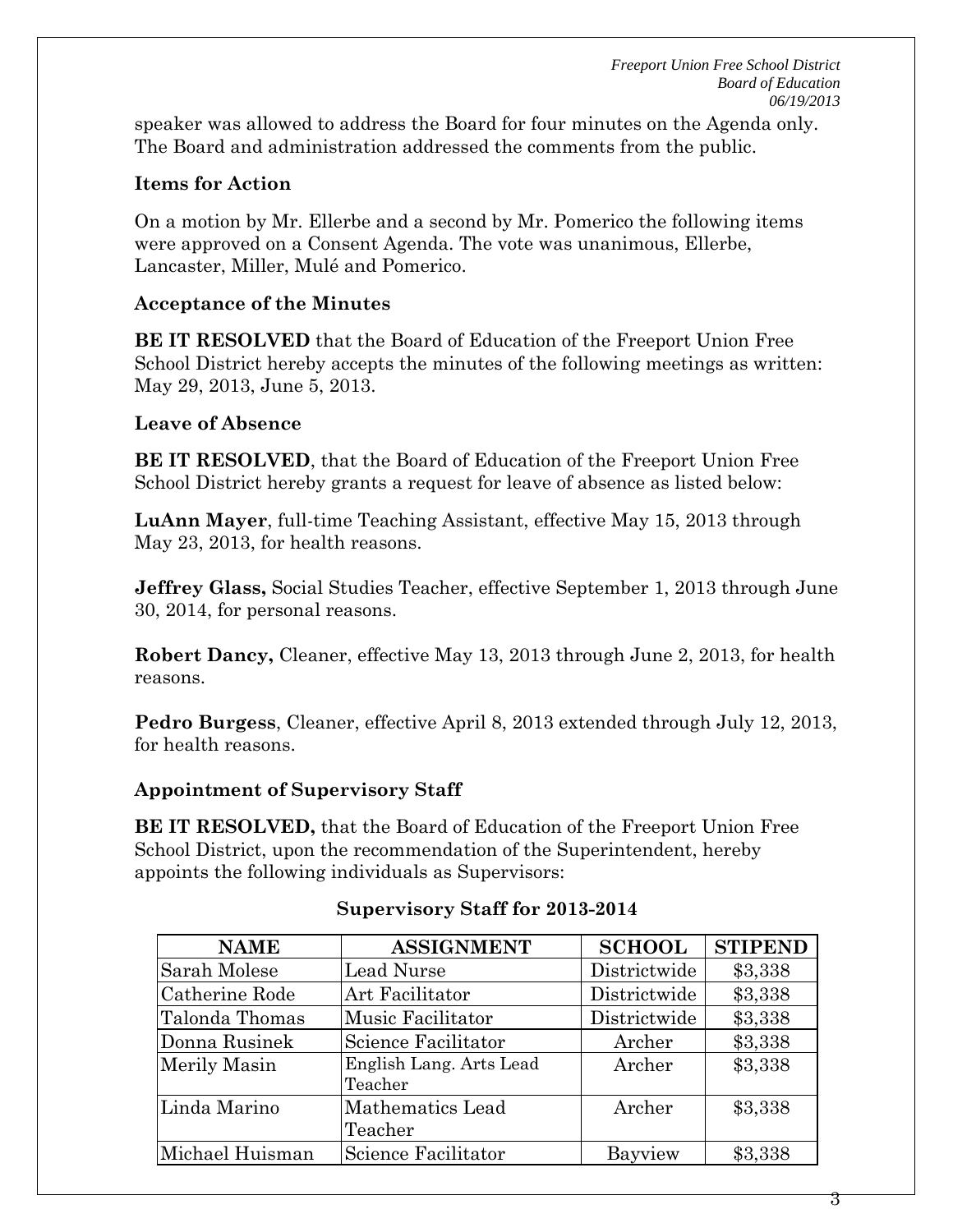*Freeport Union Free School District Board of Education 06/19/2013* 

speaker was allowed to address the Board for four minutes on the Agenda only. The Board and administration addressed the comments from the public.

## **Items for Action**

On a motion by Mr. Ellerbe and a second by Mr. Pomerico the following items were approved on a Consent Agenda. The vote was unanimous, Ellerbe, Lancaster, Miller, Mulé and Pomerico.

### **Acceptance of the Minutes**

**BE IT RESOLVED** that the Board of Education of the Freeport Union Free School District hereby accepts the minutes of the following meetings as written: May 29, 2013, June 5, 2013.

### **Leave of Absence**

**BE IT RESOLVED**, that the Board of Education of the Freeport Union Free School District hereby grants a request for leave of absence as listed below:

**LuAnn Mayer**, full-time Teaching Assistant, effective May 15, 2013 through May 23, 2013, for health reasons.

**Jeffrey Glass,** Social Studies Teacher, effective September 1, 2013 through June 30, 2014, for personal reasons.

**Robert Dancy,** Cleaner, effective May 13, 2013 through June 2, 2013, for health reasons.

**Pedro Burgess**, Cleaner, effective April 8, 2013 extended through July 12, 2013, for health reasons.

### **Appointment of Supervisory Staff**

**BE IT RESOLVED,** that the Board of Education of the Freeport Union Free School District, upon the recommendation of the Superintendent, hereby appoints the following individuals as Supervisors:

| <b>NAME</b>     | <b>ASSIGNMENT</b>                  | <b>SCHOOL</b> | <b>STIPEND</b> |
|-----------------|------------------------------------|---------------|----------------|
| Sarah Molese    | Lead Nurse                         | Districtwide  | \$3,338        |
| Catherine Rode  | Art Facilitator                    | Districtwide  | \$3,338        |
| Talonda Thomas  | Music Facilitator                  | Districtwide  | \$3,338        |
| Donna Rusinek   | Science Facilitator                | Archer        | \$3,338        |
| Merily Masin    | English Lang. Arts Lead<br>Teacher | Archer        | \$3,338        |
| Linda Marino    | Mathematics Lead<br>Teacher        | Archer        | \$3,338        |
| Michael Huisman | Science Facilitator                | Bayview       | \$3,338        |

### **Supervisory Staff for 2013-2014**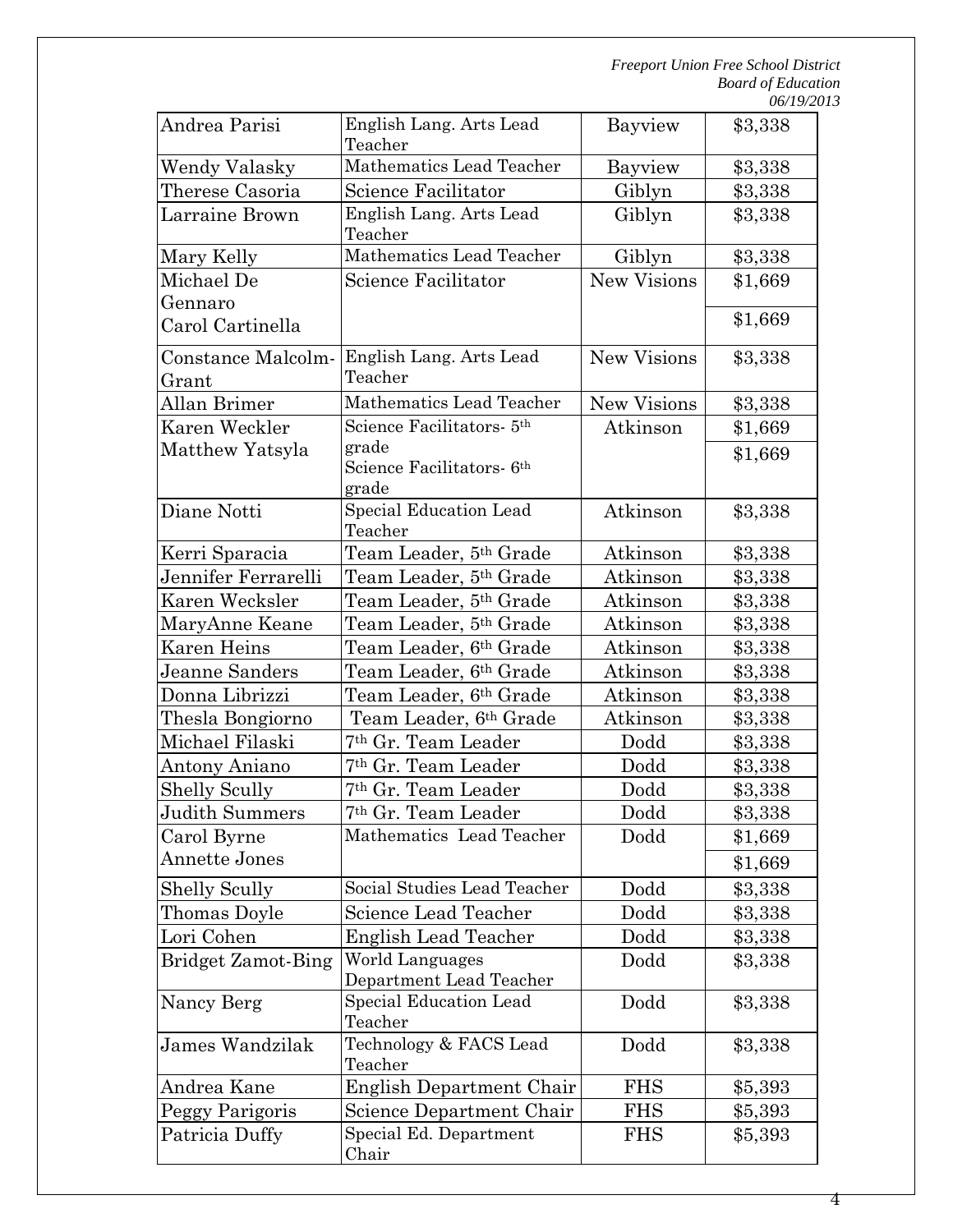| Andrea Parisi                       | English Lang. Arts Lead<br>Teacher    | Bayview            | \$3,338 |
|-------------------------------------|---------------------------------------|--------------------|---------|
| Wendy Valasky                       | Mathematics Lead Teacher              | Bayview            | \$3,338 |
| Therese Casoria                     | Science Facilitator<br>Giblyn         |                    | \$3,338 |
| Larraine Brown                      | English Lang. Arts Lead<br>Teacher    | Giblyn             | \$3,338 |
| Mary Kelly                          | Mathematics Lead Teacher              | Giblyn             | \$3,338 |
| Michael De                          | Science Facilitator                   | <b>New Visions</b> | \$1,669 |
| Gennaro                             |                                       |                    |         |
| Carol Cartinella                    |                                       |                    | \$1,669 |
| Constance Malcolm-                  | English Lang. Arts Lead               | <b>New Visions</b> | \$3,338 |
| Grant                               | Teacher                               |                    |         |
| Allan Brimer                        | Mathematics Lead Teacher              | <b>New Visions</b> | \$3,338 |
| Karen Weckler                       | Science Facilitators- 5 <sup>th</sup> | Atkinson           | \$1,669 |
| Matthew Yatsyla                     | grade                                 |                    | \$1,669 |
|                                     | Science Facilitators- 6 <sup>th</sup> |                    |         |
|                                     | grade<br>Special Education Lead       |                    |         |
| Diane Notti                         | Teacher                               | Atkinson           | \$3,338 |
| Kerri Sparacia                      | Team Leader, 5th Grade                | Atkinson           | \$3,338 |
| Jennifer Ferrarelli                 | Team Leader, 5th Grade                | Atkinson           | \$3,338 |
| Karen Wecksler                      | Team Leader, 5th Grade                | Atkinson           | \$3,338 |
| MaryAnne Keane                      | Team Leader, 5 <sup>th</sup> Grade    | Atkinson           | \$3,338 |
| Karen Heins                         | Team Leader, 6th Grade                | Atkinson           | \$3,338 |
| Jeanne Sanders                      | Team Leader, 6th Grade                | Atkinson           | \$3,338 |
| Donna Librizzi                      | Team Leader, 6th Grade                | Atkinson           | \$3,338 |
| Thesla Bongiorno                    | Team Leader, 6th Grade                | Atkinson           | \$3,338 |
| Michael Filaski                     | <sup>7th</sup> Gr. Team Leader        | Dodd               | \$3,338 |
| Antony Aniano                       | 7 <sup>th</sup> Gr. Team Leader       | Dodd               | \$3,338 |
| <b>Shelly Scully</b>                | 7 <sup>th</sup> Gr. Team Leader       | Dodd               | \$3,338 |
| Judith Summers                      | 7th Gr. Team Leader                   | Dodd               |         |
|                                     | Mathematics Lead Teacher              | Dodd               | \$3,338 |
| Carol Byrne<br><b>Annette Jones</b> |                                       |                    | \$1,669 |
|                                     |                                       |                    | \$1,669 |
| <b>Shelly Scully</b>                | Social Studies Lead Teacher           | Dodd               | \$3,338 |
| Thomas Doyle                        | Science Lead Teacher                  | Dodd               | \$3,338 |
| Lori Cohen                          | <b>English Lead Teacher</b>           | Dodd               | \$3,338 |
| <b>Bridget Zamot-Bing</b>           | World Languages                       | Dodd               | \$3,338 |
|                                     | Department Lead Teacher               |                    |         |
| Nancy Berg                          | Special Education Lead<br>Teacher     | Dodd               | \$3,338 |
| James Wandzilak                     | Technology & FACS Lead<br>Teacher     | Dodd               | \$3,338 |
| Andrea Kane                         | English Department Chair              | <b>FHS</b>         | \$5,393 |
| Peggy Parigoris                     | Science Department Chair              | <b>FHS</b>         | \$5,393 |
| Patricia Duffy                      | Special Ed. Department                | <b>FHS</b>         |         |
|                                     | Chair                                 |                    | \$5,393 |

4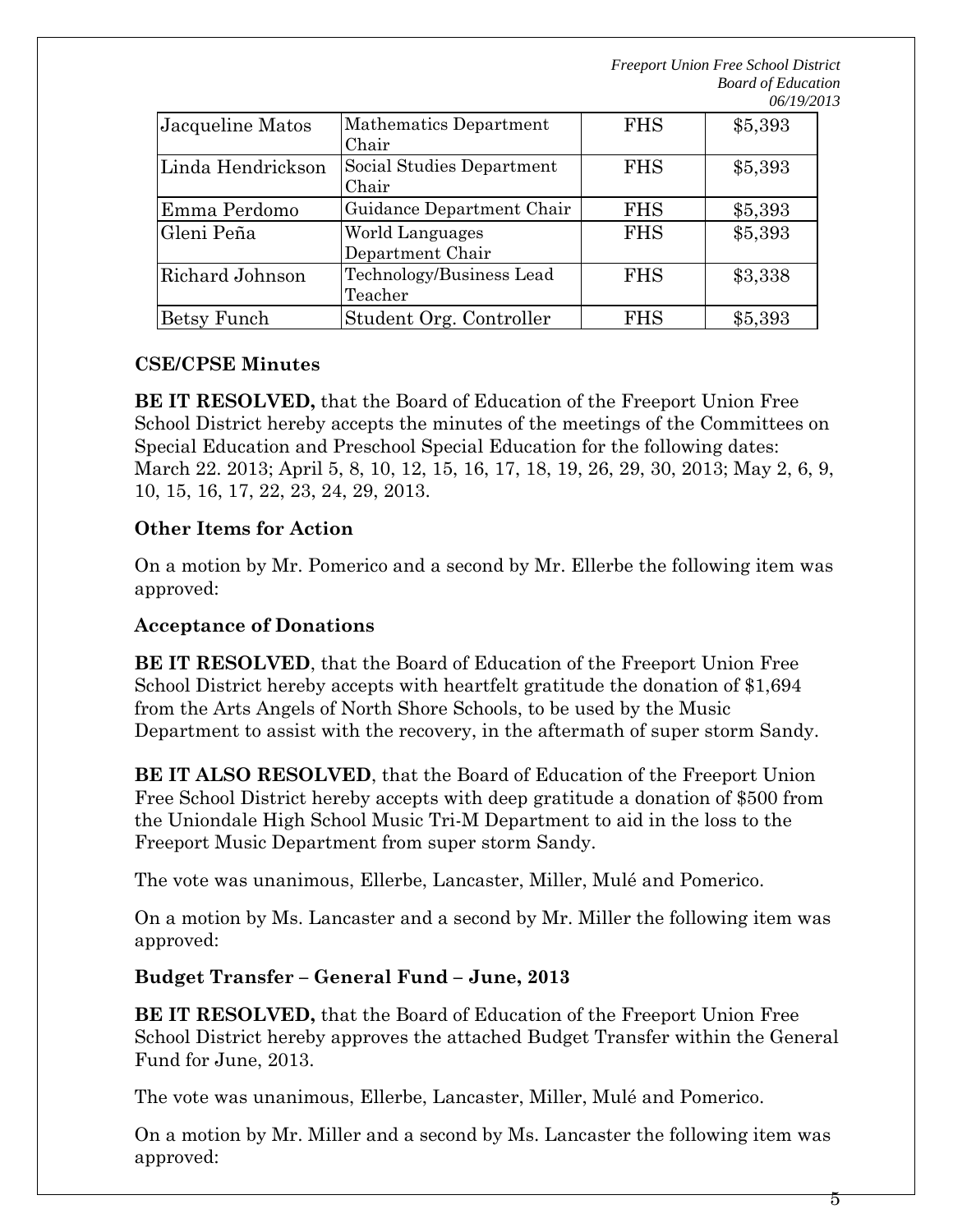*Freeport Union Free School District Board of Education 06/19/2013* 

| Jacqueline Matos  | Mathematics Department<br>Chair     | <b>FHS</b> | \$5,393 |
|-------------------|-------------------------------------|------------|---------|
| Linda Hendrickson | Social Studies Department<br>Chair  | <b>FHS</b> | \$5,393 |
| Emma Perdomo      | Guidance Department Chair           | <b>FHS</b> | \$5,393 |
| Gleni Peña        | World Languages<br>Department Chair | <b>FHS</b> | \$5,393 |
| Richard Johnson   | Technology/Business Lead<br>Teacher | <b>FHS</b> | \$3,338 |
| Betsy Funch       | Student Org. Controller             | <b>FHS</b> | \$5,393 |

## **CSE/CPSE Minutes**

**BE IT RESOLVED,** that the Board of Education of the Freeport Union Free School District hereby accepts the minutes of the meetings of the Committees on Special Education and Preschool Special Education for the following dates: March 22. 2013; April 5, 8, 10, 12, 15, 16, 17, 18, 19, 26, 29, 30, 2013; May 2, 6, 9, 10, 15, 16, 17, 22, 23, 24, 29, 2013.

## **Other Items for Action**

On a motion by Mr. Pomerico and a second by Mr. Ellerbe the following item was approved:

### **Acceptance of Donations**

**BE IT RESOLVED**, that the Board of Education of the Freeport Union Free School District hereby accepts with heartfelt gratitude the donation of \$1,694 from the Arts Angels of North Shore Schools, to be used by the Music Department to assist with the recovery, in the aftermath of super storm Sandy.

**BE IT ALSO RESOLVED**, that the Board of Education of the Freeport Union Free School District hereby accepts with deep gratitude a donation of \$500 from the Uniondale High School Music Tri-M Department to aid in the loss to the Freeport Music Department from super storm Sandy.

The vote was unanimous, Ellerbe, Lancaster, Miller, Mulé and Pomerico.

On a motion by Ms. Lancaster and a second by Mr. Miller the following item was approved:

# **Budget Transfer – General Fund – June, 2013**

**BE IT RESOLVED,** that the Board of Education of the Freeport Union Free School District hereby approves the attached Budget Transfer within the General Fund for June, 2013.

The vote was unanimous, Ellerbe, Lancaster, Miller, Mulé and Pomerico.

On a motion by Mr. Miller and a second by Ms. Lancaster the following item was approved: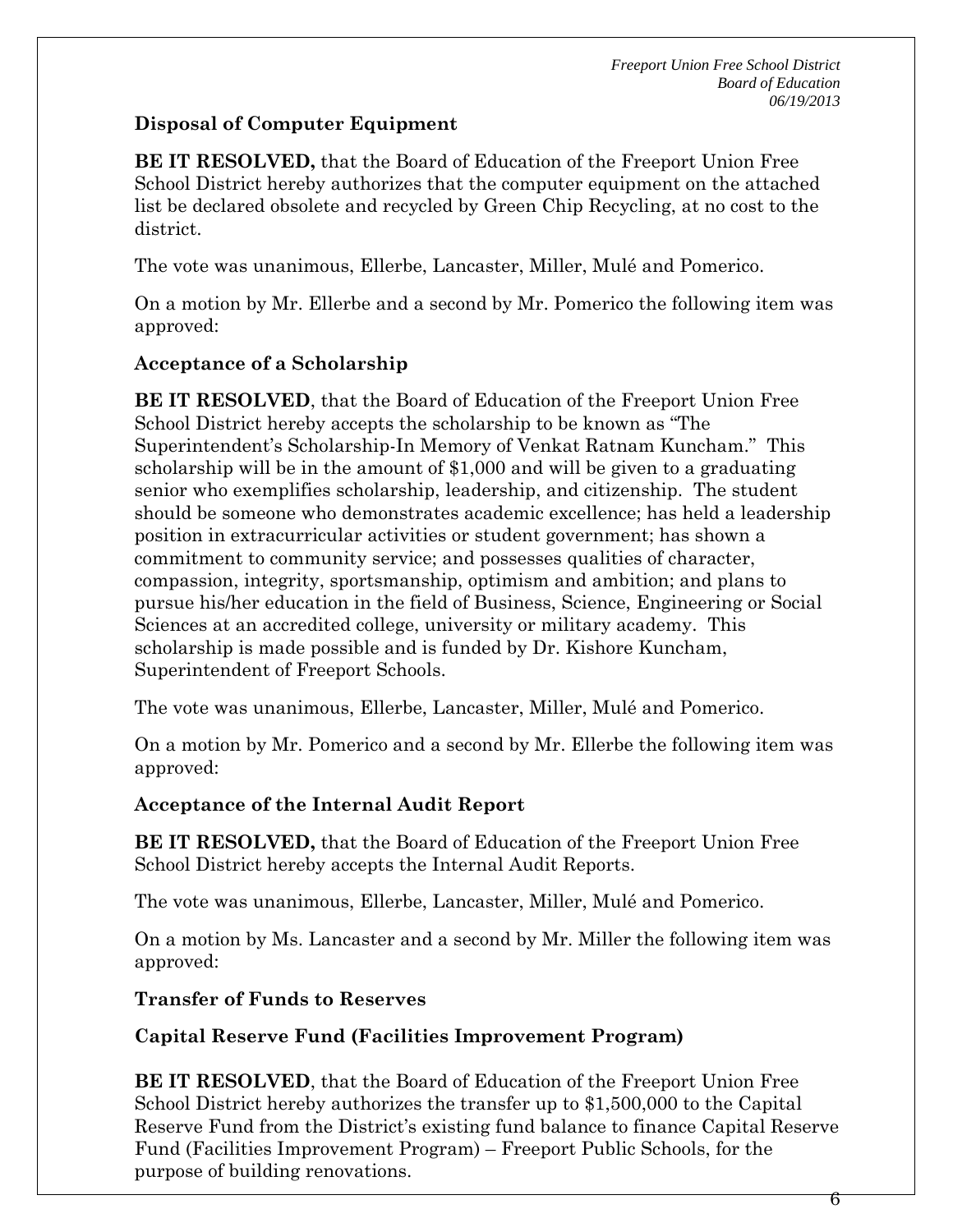# **Disposal of Computer Equipment**

**BE IT RESOLVED,** that the Board of Education of the Freeport Union Free School District hereby authorizes that the computer equipment on the attached list be declared obsolete and recycled by Green Chip Recycling, at no cost to the district.

The vote was unanimous, Ellerbe, Lancaster, Miller, Mulé and Pomerico.

On a motion by Mr. Ellerbe and a second by Mr. Pomerico the following item was approved:

# **Acceptance of a Scholarship**

**BE IT RESOLVED**, that the Board of Education of the Freeport Union Free School District hereby accepts the scholarship to be known as "The Superintendent's Scholarship-In Memory of Venkat Ratnam Kuncham." This scholarship will be in the amount of \$1,000 and will be given to a graduating senior who exemplifies scholarship, leadership, and citizenship. The student should be someone who demonstrates academic excellence; has held a leadership position in extracurricular activities or student government; has shown a commitment to community service; and possesses qualities of character, compassion, integrity, sportsmanship, optimism and ambition; and plans to pursue his/her education in the field of Business, Science, Engineering or Social Sciences at an accredited college, university or military academy. This scholarship is made possible and is funded by Dr. Kishore Kuncham, Superintendent of Freeport Schools.

The vote was unanimous, Ellerbe, Lancaster, Miller, Mulé and Pomerico.

On a motion by Mr. Pomerico and a second by Mr. Ellerbe the following item was approved:

# **Acceptance of the Internal Audit Report**

**BE IT RESOLVED,** that the Board of Education of the Freeport Union Free School District hereby accepts the Internal Audit Reports.

The vote was unanimous, Ellerbe, Lancaster, Miller, Mulé and Pomerico.

On a motion by Ms. Lancaster and a second by Mr. Miller the following item was approved:

# **Transfer of Funds to Reserves**

# **Capital Reserve Fund (Facilities Improvement Program)**

**BE IT RESOLVED**, that the Board of Education of the Freeport Union Free School District hereby authorizes the transfer up to \$1,500,000 to the Capital Reserve Fund from the District's existing fund balance to finance Capital Reserve Fund (Facilities Improvement Program) – Freeport Public Schools, for the purpose of building renovations.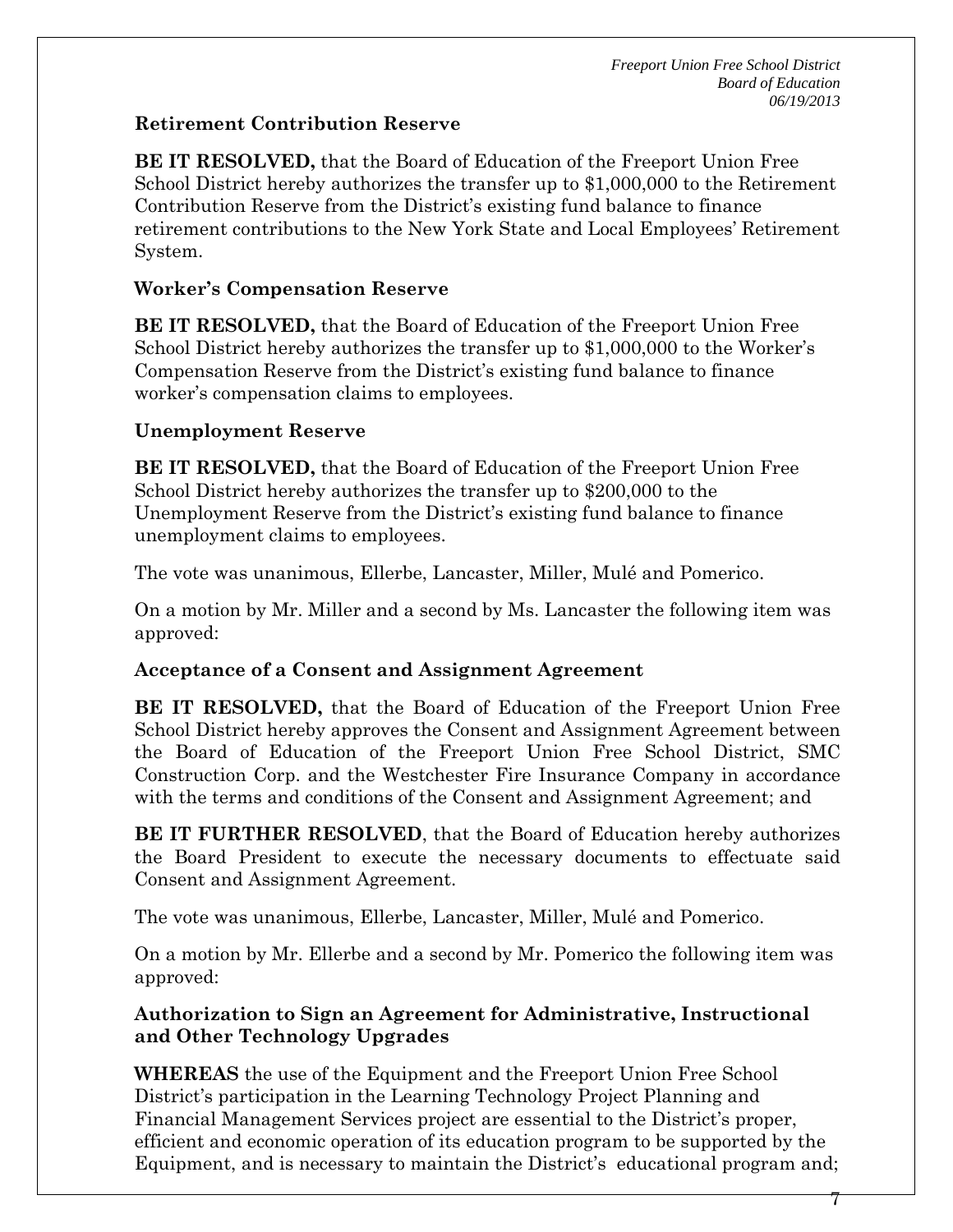# **Retirement Contribution Reserve**

**BE IT RESOLVED,** that the Board of Education of the Freeport Union Free School District hereby authorizes the transfer up to \$1,000,000 to the Retirement Contribution Reserve from the District's existing fund balance to finance retirement contributions to the New York State and Local Employees' Retirement System.

# **Worker's Compensation Reserve**

**BE IT RESOLVED,** that the Board of Education of the Freeport Union Free School District hereby authorizes the transfer up to \$1,000,000 to the Worker's Compensation Reserve from the District's existing fund balance to finance worker's compensation claims to employees.

# **Unemployment Reserve**

**BE IT RESOLVED,** that the Board of Education of the Freeport Union Free School District hereby authorizes the transfer up to \$200,000 to the Unemployment Reserve from the District's existing fund balance to finance unemployment claims to employees.

The vote was unanimous, Ellerbe, Lancaster, Miller, Mulé and Pomerico.

On a motion by Mr. Miller and a second by Ms. Lancaster the following item was approved:

# **Acceptance of a Consent and Assignment Agreement**

**BE IT RESOLVED,** that the Board of Education of the Freeport Union Free School District hereby approves the Consent and Assignment Agreement between the Board of Education of the Freeport Union Free School District, SMC Construction Corp. and the Westchester Fire Insurance Company in accordance with the terms and conditions of the Consent and Assignment Agreement; and

**BE IT FURTHER RESOLVED**, that the Board of Education hereby authorizes the Board President to execute the necessary documents to effectuate said Consent and Assignment Agreement.

The vote was unanimous, Ellerbe, Lancaster, Miller, Mulé and Pomerico.

On a motion by Mr. Ellerbe and a second by Mr. Pomerico the following item was approved:

# **Authorization to Sign an Agreement for Administrative, Instructional and Other Technology Upgrades**

**WHEREAS** the use of the Equipment and the Freeport Union Free School District's participation in the Learning Technology Project Planning and Financial Management Services project are essential to the District's proper, efficient and economic operation of its education program to be supported by the Equipment, and is necessary to maintain the District's educational program and;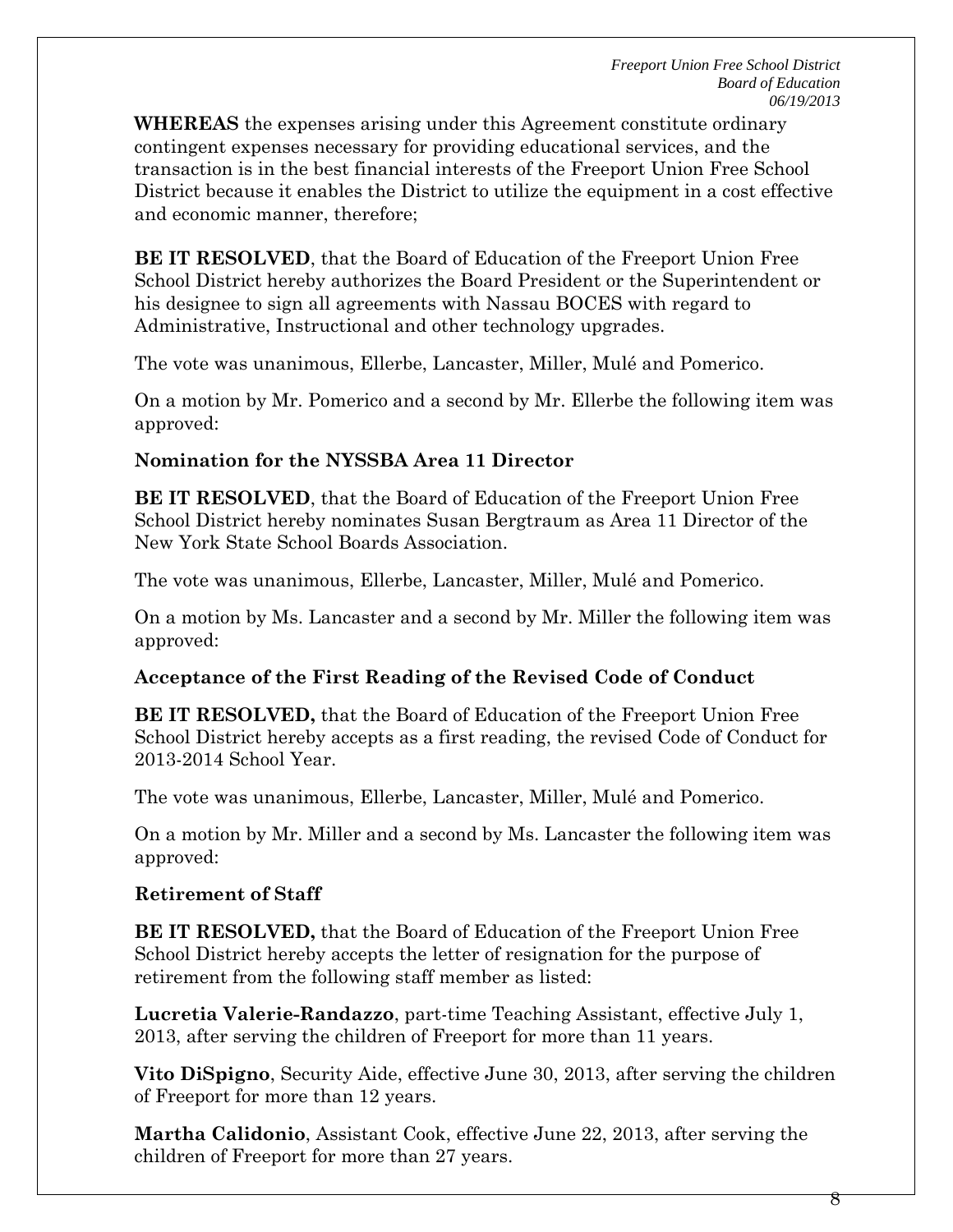**WHEREAS** the expenses arising under this Agreement constitute ordinary contingent expenses necessary for providing educational services, and the transaction is in the best financial interests of the Freeport Union Free School District because it enables the District to utilize the equipment in a cost effective and economic manner, therefore;

**BE IT RESOLVED**, that the Board of Education of the Freeport Union Free School District hereby authorizes the Board President or the Superintendent or his designee to sign all agreements with Nassau BOCES with regard to Administrative, Instructional and other technology upgrades.

The vote was unanimous, Ellerbe, Lancaster, Miller, Mulé and Pomerico.

On a motion by Mr. Pomerico and a second by Mr. Ellerbe the following item was approved:

## **Nomination for the NYSSBA Area 11 Director**

**BE IT RESOLVED**, that the Board of Education of the Freeport Union Free School District hereby nominates Susan Bergtraum as Area 11 Director of the New York State School Boards Association.

The vote was unanimous, Ellerbe, Lancaster, Miller, Mulé and Pomerico.

On a motion by Ms. Lancaster and a second by Mr. Miller the following item was approved:

# **Acceptance of the First Reading of the Revised Code of Conduct**

**BE IT RESOLVED,** that the Board of Education of the Freeport Union Free School District hereby accepts as a first reading, the revised Code of Conduct for 2013-2014 School Year.

The vote was unanimous, Ellerbe, Lancaster, Miller, Mulé and Pomerico.

On a motion by Mr. Miller and a second by Ms. Lancaster the following item was approved:

# **Retirement of Staff**

**BE IT RESOLVED,** that the Board of Education of the Freeport Union Free School District hereby accepts the letter of resignation for the purpose of retirement from the following staff member as listed:

**Lucretia Valerie-Randazzo**, part-time Teaching Assistant, effective July 1, 2013, after serving the children of Freeport for more than 11 years.

**Vito DiSpigno**, Security Aide, effective June 30, 2013, after serving the children of Freeport for more than 12 years.

**Martha Calidonio**, Assistant Cook, effective June 22, 2013, after serving the children of Freeport for more than 27 years.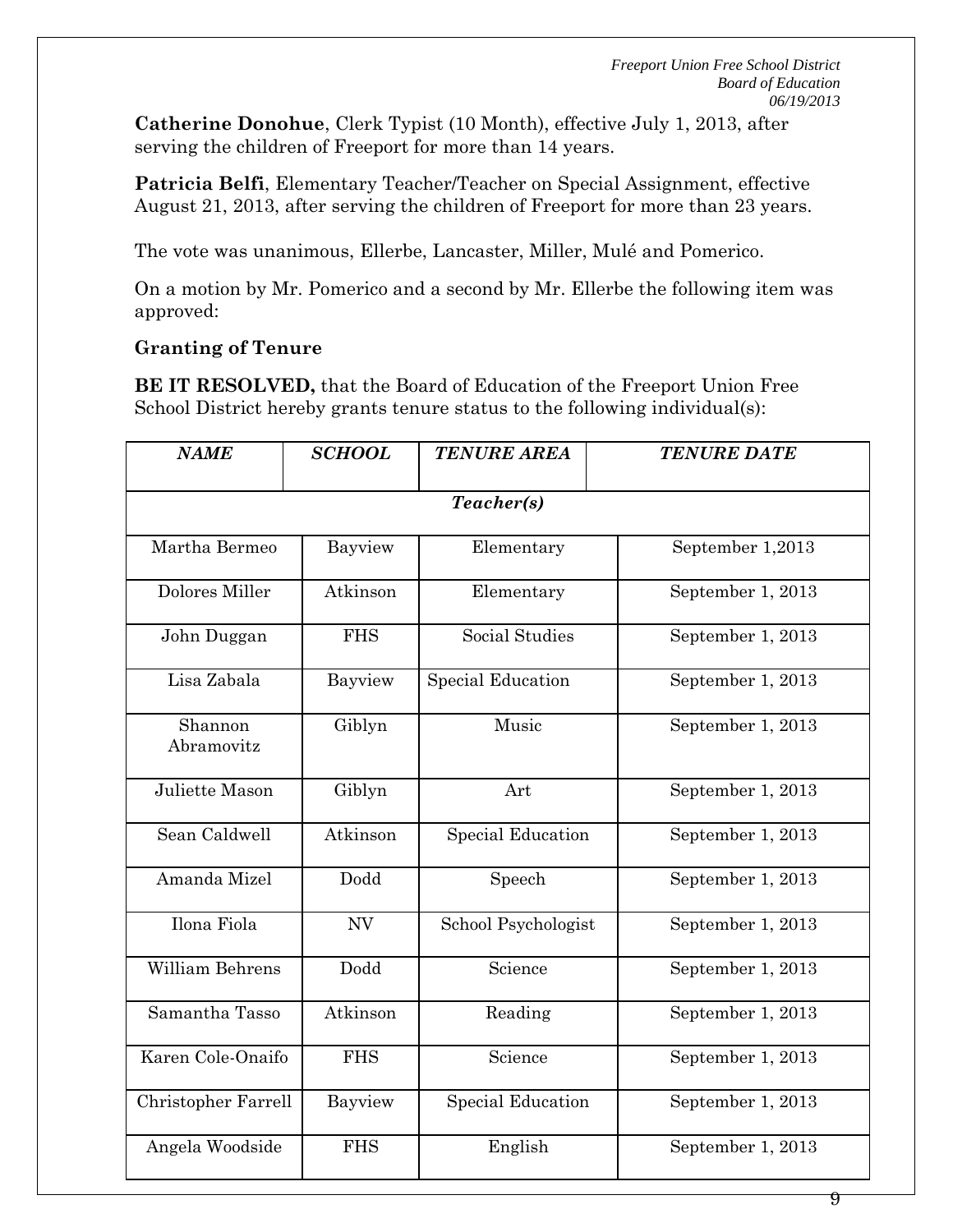**Catherine Donohue**, Clerk Typist (10 Month), effective July 1, 2013, after serving the children of Freeport for more than 14 years.

**Patricia Belfi**, Elementary Teacher/Teacher on Special Assignment, effective August 21, 2013, after serving the children of Freeport for more than 23 years.

The vote was unanimous, Ellerbe, Lancaster, Miller, Mulé and Pomerico.

On a motion by Mr. Pomerico and a second by Mr. Ellerbe the following item was approved:

## **Granting of Tenure**

**BE IT RESOLVED,** that the Board of Education of the Freeport Union Free School District hereby grants tenure status to the following individual(s):

| <b>NAME</b>           | <b>SCHOOL</b> | <b>TENURE AREA</b>       | <b>TENURE DATE</b> |  |
|-----------------------|---------------|--------------------------|--------------------|--|
| Teacher(s)            |               |                          |                    |  |
| Martha Bermeo         | Bayview       | Elementary               | September 1,2013   |  |
| Dolores Miller        | Atkinson      | Elementary               | September 1, 2013  |  |
| John Duggan           | <b>FHS</b>    | Social Studies           | September 1, 2013  |  |
| Lisa Zabala           | Bayview       | <b>Special Education</b> | September 1, 2013  |  |
| Shannon<br>Abramovitz | Giblyn        | Music                    | September 1, 2013  |  |
| Juliette Mason        | Giblyn        | Art                      | September 1, 2013  |  |
| Sean Caldwell         | Atkinson      | <b>Special Education</b> | September 1, 2013  |  |
| Amanda Mizel          | Dodd          | Speech                   | September 1, 2013  |  |
| Ilona Fiola           | NV            | School Psychologist      | September 1, 2013  |  |
| William Behrens       | Dodd          | Science                  | September 1, 2013  |  |
| Samantha Tasso        | Atkinson      | Reading                  | September 1, 2013  |  |
| Karen Cole-Onaifo     | <b>FHS</b>    | Science                  | September 1, 2013  |  |
| Christopher Farrell   | Bayview       | <b>Special Education</b> | September 1, 2013  |  |
| Angela Woodside       | <b>FHS</b>    | English                  | September 1, 2013  |  |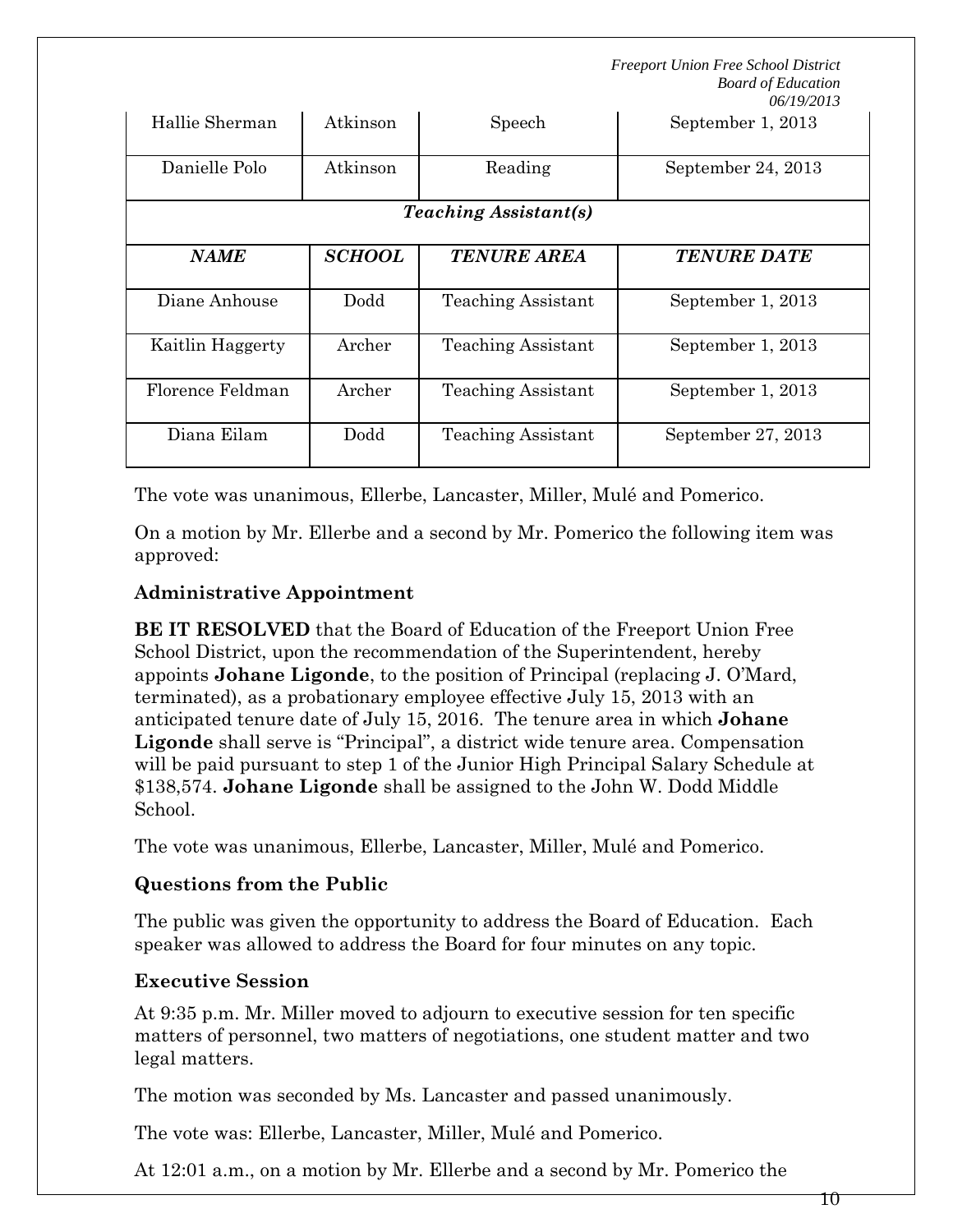| Hallie Sherman               | Atkinson      | Speech                    | September 1, 2013  |  |
|------------------------------|---------------|---------------------------|--------------------|--|
| Danielle Polo                | Atkinson      | Reading                   | September 24, 2013 |  |
| <b>Teaching Assistant(s)</b> |               |                           |                    |  |
| <i>NAME</i>                  | <b>SCHOOL</b> | <b>TENURE AREA</b>        | <b>TENURE DATE</b> |  |
| Diane Anhouse                | Dodd          | <b>Teaching Assistant</b> | September 1, 2013  |  |
| Kaitlin Haggerty             | Archer        | <b>Teaching Assistant</b> | September 1, 2013  |  |
| Florence Feldman             | Archer        | Teaching Assistant        | September 1, 2013  |  |
| Diana Eilam                  | Dodd          | Teaching Assistant        | September 27, 2013 |  |

The vote was unanimous, Ellerbe, Lancaster, Miller, Mulé and Pomerico.

On a motion by Mr. Ellerbe and a second by Mr. Pomerico the following item was approved:

## **Administrative Appointment**

**BE IT RESOLVED** that the Board of Education of the Freeport Union Free School District, upon the recommendation of the Superintendent, hereby appoints **Johane Ligonde**, to the position of Principal (replacing J. O'Mard, terminated), as a probationary employee effective July 15, 2013 with an anticipated tenure date of July 15, 2016. The tenure area in which **Johane Ligonde** shall serve is "Principal", a district wide tenure area. Compensation will be paid pursuant to step 1 of the Junior High Principal Salary Schedule at \$138,574. **Johane Ligonde** shall be assigned to the John W. Dodd Middle School.

The vote was unanimous, Ellerbe, Lancaster, Miller, Mulé and Pomerico.

# **Questions from the Public**

The public was given the opportunity to address the Board of Education. Each speaker was allowed to address the Board for four minutes on any topic.

# **Executive Session**

At 9:35 p.m. Mr. Miller moved to adjourn to executive session for ten specific matters of personnel, two matters of negotiations, one student matter and two legal matters.

The motion was seconded by Ms. Lancaster and passed unanimously.

The vote was: Ellerbe, Lancaster, Miller, Mulé and Pomerico.

At 12:01 a.m., on a motion by Mr. Ellerbe and a second by Mr. Pomerico the